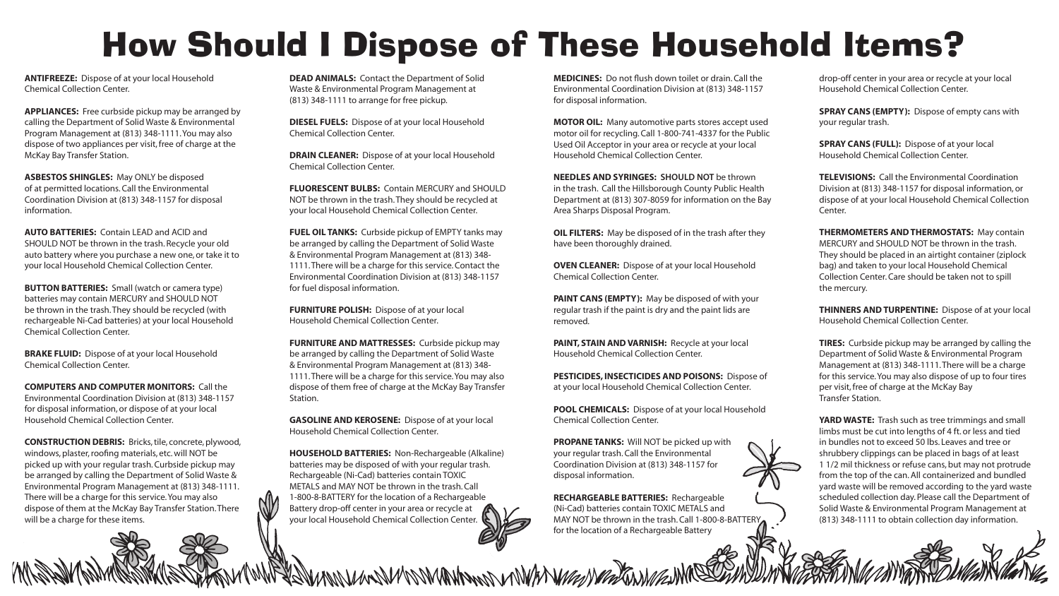# How Should I Dispose of These Household Items?

drop-off center in your area or recycle at your local Household Chemical Collection Center.

SPRAY CANS (EMPTY): Dispose of empty cans with your regular trash.

SPRAY CANS (FULL): Dispose of at your local Household Chemical Collection Center.

TELEVISIONS: Call the Environmental Coordination Division at (813) 348-1157 for disposal information, or dispose of at your local Household Chemical Collection Center.

THERMOMETERS AND THERMOSTATS: May contain MERCURY and SHOULD NOT be thrown in the trash. They should be placed in an airtight container (ziplock bag) and taken to your local Household Chemical Collection Center. Care should be taken not to spill the mercury.

THINNERS AND TURPENTINE: Dispose of at your local Household Chemical Collection Center.

YARD WASTE: Trash such as tree trimmings and small limbs must be cut into lengths of 4 ft. or less and tied in bundles not to exceed 50 lbs. Leaves and tree or shrubbery clippings can be placed in bags of at least 1 1/2 mil thickness or refuse cans, but may not protrude from the top of the can. All containerized and bundled yard waste will be removed according to the yard waste scheduled collection day. Please call the Department of Solid Waste & Environmental Program Management at (813) 348-1111 to obtain collection day information.

TIRES: Curbside pickup may be arranged by calling the Department of Solid Waste & Environmental Program Management at (813) 348-1111. There will be a charge for this service. You may also dispose of up to four tires per visit, free of charge at the McKay Bay Transfer Station.

**FLUORESCENT BULBS: Contain MERCURY and SHOULD** NOT be thrown in the trash. They should be recycled at your local Household Chemical Collection Center.

FUEL OIL TANKS: Curbside pickup of EMPTY tanks may be arranged by calling the Department of Solid Waste & Environmental Program Management at (813) 348- 1111. There will be a charge for this service. Contact the Environmental Coordination Division at (813) 348-1157 for fuel disposal information.

| MEDICINES: Do not flush down toilet or drain. Call the<br>Environmental Coordination Division at (813) 348-1157<br>for disposal information.                                                                                         |
|--------------------------------------------------------------------------------------------------------------------------------------------------------------------------------------------------------------------------------------|
| <b>MOTOR OIL:</b> Many automotive parts stores accept used<br>motor oil for recycling. Call 1-800-741-4337 for the Public<br>Used Oil Acceptor in your area or recycle at your local<br><b>Household Chemical Collection Center.</b> |
| <b>NEEDLES AND SYRINGES: SHOULD NOT be thrown</b><br>in the trash. Call the Hillsborough County Public Health<br>Department at (813) 307-8059 for information on the Bay<br>Area Sharps Disposal Program.                            |
| OIL FILTERS: May be disposed of in the trash after they<br>have been thoroughly drained.                                                                                                                                             |
| <b>OVEN CLEANER:</b> Dispose of at your local Household<br><b>Chemical Collection Center.</b>                                                                                                                                        |
| PAINT CANS (EMPTY): May be disposed of with your<br>regular trash if the paint is dry and the paint lids are<br>removed.                                                                                                             |
| PAINT, STAIN AND VARNISH: Recycle at your local<br>Household Chemical Collection Center.                                                                                                                                             |
| PESTICIDES, INSECTICIDES AND POISONS: Dispose of<br>at your local Household Chemical Collection Center.                                                                                                                              |
| POOL CHEMICALS: Dispose of at your local Household<br><b>Chemical Collection Center.</b>                                                                                                                                             |
| PROPANE TANKS: Will NOT be picked up with<br>your regular trash. Call the Environmental<br>Coordination Division at (813) 348-1157 for<br>disposal information.                                                                      |
|                                                                                                                                                                                                                                      |

**BUTTON BATTERIES:** Small (watch or camera type) batteries may contain MERCURY and SHOULD NOT be thrown in the trash. They should be recycled (with rechargeable Ni-Cad batteries) at your local Household Chemical Collection Center.

> RECHARGEABLE BATTERIES: Rechargeable (Ni-Cad) batteries contain TOXIC METALS and MAY NOT be thrown in the trash. Call 1-800-8-BATTERY for the location of a Rechargeable Battery

DEAD ANIMALS: Contact the Department of Solid Waste & Environmental Program Management at (813) 348-1111 to arrange for free pickup.

DIESEL FUELS: Dispose of at your local Household Chemical Collection Center.

DRAIN CLEANER: Dispose of at your local Household Chemical Collection Center.

FURNITURE POLISH: Dispose of at your local Household Chemical Collection Center.

FURNITURE AND MATTRESSES: Curbside pickup may be arranged by calling the Department of Solid Waste & Environmental Program Management at (813) 348- 1111. There will be a charge for this service. You may also dispose of them free of charge at the McKay Bay Transfer Station.

GASOLINE AND KEROSENE: Dispose of at your local Household Chemical Collection Center.

HOUSEHOLD BATTERIES: Non-Rechargeable (Alkaline) batteries may be disposed of with your regular trash. Rechargeable (Ni-Cad) batteries contain TOXIC METALS and MAY NOT be thrown in the trash. Call 1-800-8-BATTERY for the location of a Rechargeable Battery drop-off center in your area or recycle at your local Household Chemical Collection Center.

MANUMANUMANING PERMANUMANUMANUMANUM

ANTIFREEZE: Dispose of at your local Household Chemical Collection Center.

APPLIANCES: Free curbside pickup may be arranged by calling the Department of Solid Waste & Environmental Program Management at (813) 348-1111. You may also dispose of two appliances per visit, free of charge at the McKay Bay Transfer Station.

ASBESTOS SHINGLES: May ONLY be disposed of at permitted locations. Call the Environmental Coordination Division at (813) 348-1157 for disposal information.

AUTO BATTERIES: Contain LEAD and ACID and SHOULD NOT be thrown in the trash. Recycle your old auto battery where you purchase a new one, or take it to your local Household Chemical Collection Center.

BRAKE FLUID: Dispose of at your local Household Chemical Collection Center.

COMPUTERS AND COMPUTER MONITORS: Call the Environmental Coordination Division at (813) 348-1157 for disposal information, or dispose of at your local Household Chemical Collection Center.

CONSTRUCTION DEBRIS: Bricks, tile, concrete, plywood, windows, plaster, roofing materials, etc. will NOT be picked up with your regular trash. Curbside pickup may be arranged by calling the Department of Solid Waste & Environmental Program Management at (813) 348-1111. There will be a charge for this service. You may also dispose of them at the McKay Bay Transfer Station. There will be a charge for these items.